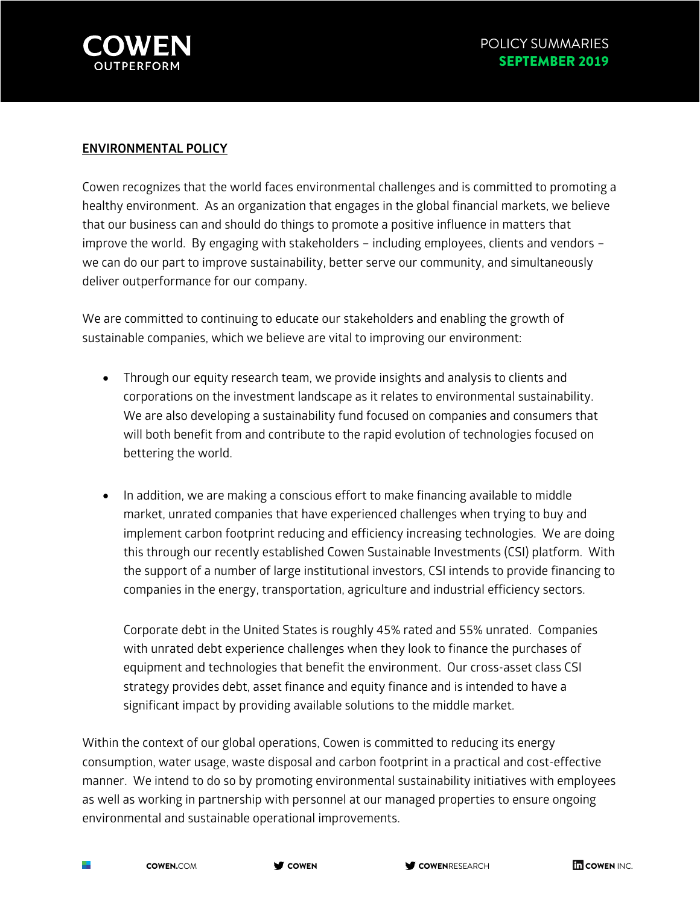

## **ENVIRONMENTAL POLICY**

Cowen recognizes that the world faces environmental challenges and is committed to promoting a healthy environment. As an organization that engages in the global financial markets, we believe that our business can and should do things to promote a positive influence in matters that improve the world. By engaging with stakeholders – including employees, clients and vendors – we can do our part to improve sustainability, better serve our community, and simultaneously deliver outperformance for our company.

We are committed to continuing to educate our stakeholders and enabling the growth of sustainable companies, which we believe are vital to improving our environment:

- Through our equity research team, we provide insights and analysis to clients and corporations on the investment landscape as it relates to environmental sustainability. We are also developing a sustainability fund focused on companies and consumers that will both benefit from and contribute to the rapid evolution of technologies focused on bettering the world.
- In addition, we are making a conscious effort to make financing available to middle market, unrated companies that have experienced challenges when trying to buy and implement carbon footprint reducing and efficiency increasing technologies. We are doing this through our recently established Cowen Sustainable Investments (CSI) platform. With the support of a number of large institutional investors, CSI intends to provide financing to companies in the energy, transportation, agriculture and industrial efficiency sectors.

Corporate debt in the United States is roughly 45% rated and 55% unrated. Companies with unrated debt experience challenges when they look to finance the purchases of equipment and technologies that benefit the environment. Our cross-asset class CSI strategy provides debt, asset finance and equity finance and is intended to have a significant impact by providing available solutions to the middle market.

Within the context of our global operations, Cowen is committed to reducing its energy consumption, water usage, waste disposal and carbon footprint in a practical and cost-effective manner. We intend to do so by promoting environmental sustainability initiatives with employees as well as working in partnership with personnel at our managed properties to ensure ongoing environmental and sustainable operational improvements.